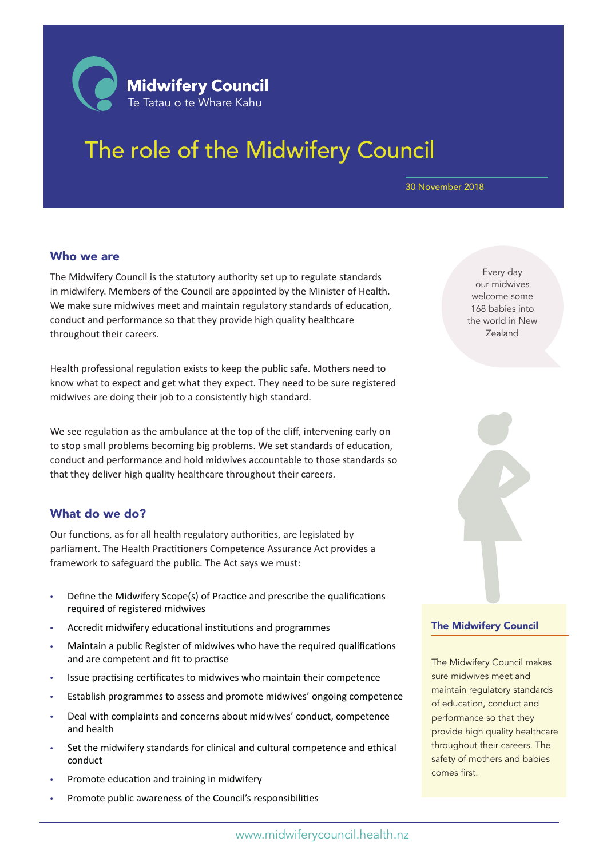

# The role of the Midwifery Council

#### 30 November 2018

#### Who we are

The Midwifery Council is the statutory authority set up to regulate standards in midwifery. Members of the Council are appointed by the Minister of Health. We make sure midwives meet and maintain regulatory standards of education, conduct and performance so that they provide high quality healthcare throughout their careers.

Health professional regulation exists to keep the public safe. Mothers need to know what to expect and get what they expect. They need to be sure registered midwives are doing their job to a consistently high standard.

We see regulation as the ambulance at the top of the cliff, intervening early on to stop small problems becoming big problems. We set standards of education, conduct and performance and hold midwives accountable to those standards so that they deliver high quality healthcare throughout their careers.

#### What do we do?

Our functions, as for all health regulatory authorities, are legislated by parliament. The Health Practitioners Competence Assurance Act provides a framework to safeguard the public. The Act says we must:

- Define the Midwifery Scope(s) of Practice and prescribe the qualifications required of registered midwives
- Accredit midwifery educational institutions and programmes
- Maintain a public Register of midwives who have the required qualifications and are competent and fit to practise
- Issue practising certificates to midwives who maintain their competence
- Establish programmes to assess and promote midwives' ongoing competence
- Deal with complaints and concerns about midwives' conduct, competence and health
- Set the midwifery standards for clinical and cultural competence and ethical conduct
- Promote education and training in midwifery
- Promote public awareness of the Council's responsibilities

Every day our midwives welcome some 168 babies into the world in New Zealand



The Midwifery Council makes sure midwives meet and maintain regulatory standards of education, conduct and performance so that they provide high quality healthcare throughout their careers. The safety of mothers and babies comes first.